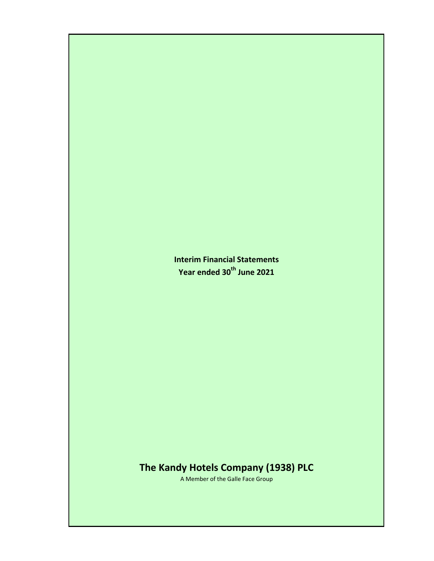**Interim Financial Statements Year ended 30th June 2021**

# **The Kandy Hotels Company (1938) PLC**

A Member of the Galle Face Group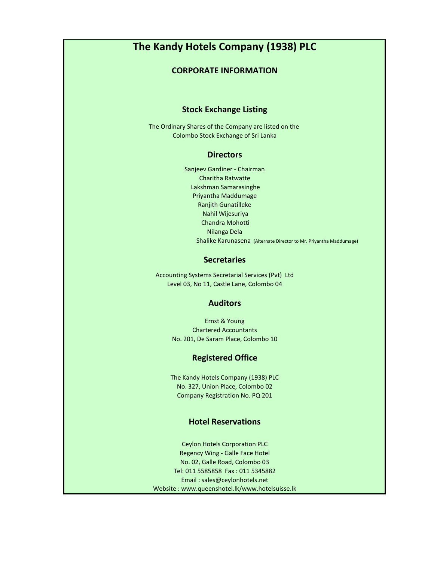# **The Kandy Hotels Company (1938) PLC**

## **CORPORATE INFORMATION**

# **Stock Exchange Listing**

The Ordinary Shares of the Company are listed on the Colombo Stock Exchange of Sri Lanka

## **Directors**

Ranjith Gunatilleke Sanjeev Gardiner - Chairman Charitha Ratwatte Lakshman Samarasinghe Priyantha Maddumage Nahil Wijesuriya Chandra Mohotti Nilanga Dela Shalike Karunasena (Alternate Director to Mr. Priyantha Maddumage)

## **Secretaries**

Accounting Systems Secretarial Services (Pvt) Ltd Level 03, No 11, Castle Lane, Colombo 04

## **Auditors**

Ernst & Young Chartered Accountants No. 201, De Saram Place, Colombo 10

# **Registered Office**

The Kandy Hotels Company (1938) PLC No. 327, Union Place, Colombo 02 Company Registration No. PQ 201

# **Hotel Reservations**

No. 02, Galle Road, Colombo 03 Tel: 011 5585858 Fax : 011 5345882 Email : sales@ceylonhotels.net Website : www.queenshotel.lk/www.hotelsuisse.lk Ceylon Hotels Corporation PLC Regency Wing - Galle Face Hotel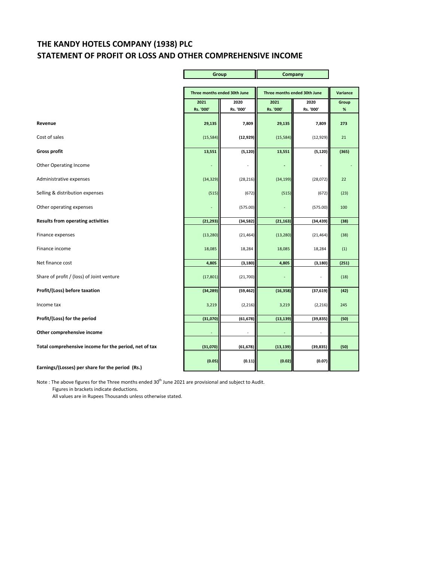# **THE KANDY HOTELS COMPANY (1938) PLC STATEMENT OF PROFIT OR LOSS AND OTHER COMPREHENSIVE INCOME**

Ē

Ŧ.

|                                                       | Group             |                              | Company                      |                   |            |
|-------------------------------------------------------|-------------------|------------------------------|------------------------------|-------------------|------------|
|                                                       |                   | Three months ended 30th June | Three months ended 30th June |                   | Variance   |
|                                                       | 2021<br>Rs. '000' | 2020<br>Rs. '000'            | 2021<br>Rs. '000'            | 2020<br>Rs. '000' | Group<br>% |
| Revenue                                               | 29,135            | 7,809                        | 29,135                       | 7,809             | 273        |
| Cost of sales                                         | (15, 584)         | (12, 929)                    | (15, 584)                    | (12, 929)         | 21         |
| <b>Gross profit</b>                                   | 13,551            | (5, 120)                     | 13,551                       | (5, 120)          | (365)      |
| <b>Other Operating Income</b>                         |                   |                              |                              |                   |            |
| Administrative expenses                               | (34, 329)         | (28, 216)                    | (34, 199)                    | (28,072)          | 22         |
| Selling & distribution expenses                       | (515)             | (672)                        | (515)                        | (672)             | (23)       |
| Other operating expenses                              |                   | (575.00)                     |                              | (575.00)          | 100        |
| <b>Results from operating activities</b>              | (21, 293)         | (34, 582)                    | (21, 163)                    | (34, 439)         | (38)       |
| Finance expenses                                      | (13, 280)         | (21, 464)                    | (13, 280)                    | (21, 464)         | (38)       |
| Finance income                                        | 18,085            | 18,284                       | 18,085                       | 18,284            | (1)        |
| Net finance cost                                      | 4,805             | (3, 180)                     | 4,805                        | (3, 180)          | (251)      |
| Share of profit / (loss) of Joint venture             | (17, 801)         | (21, 700)                    |                              |                   | (18)       |
| Profit/(Loss) before taxation                         | (34, 289)         | (59, 462)                    | (16, 358)                    | (37, 619)         | (42)       |
| Income tax                                            | 3,219             | (2, 216)                     | 3,219                        | (2, 216)          | 245        |
| Profit/(Loss) for the period                          | (31,070)          | (61, 678)                    | (13, 139)                    | (39, 835)         | (50)       |
| Other comprehensive income                            |                   |                              |                              |                   |            |
| Total comprehensive income for the period, net of tax | (31,070)          | (61, 678)                    | (13, 139)                    | (39, 835)         | (50)       |
| Earnings/(Losses) per share for the period (Rs.)      | (0.05)            | (0.11)                       | (0.02)                       | (0.07)            |            |

Note : The above figures for the Three months ended 30<sup>th</sup> June 2021 are provisional and subject to Audit. Figures in brackets indicate deductions.

All values are in Rupees Thousands unless otherwise stated.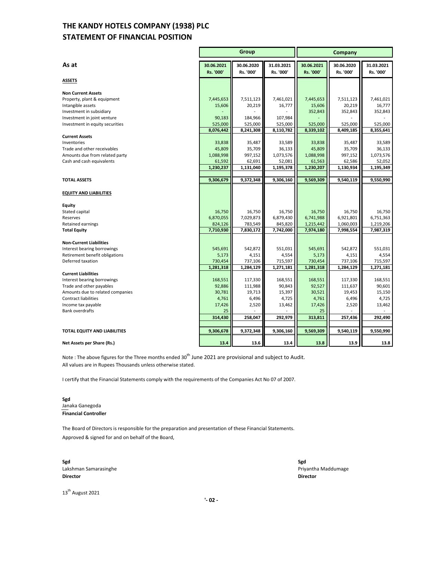# **STATEMENT OF FINANCIAL POSITION THE KANDY HOTELS COMPANY (1938) PLC**

|                                                               | Group                   |                         | Company                 |                         |                         |                         |
|---------------------------------------------------------------|-------------------------|-------------------------|-------------------------|-------------------------|-------------------------|-------------------------|
| As at                                                         | 30.06.2021<br>Rs. '000' | 30.06.2020<br>Rs. '000' | 31.03.2021<br>Rs. '000' | 30.06.2021<br>Rs. '000' | 30.06.2020<br>Rs. '000' | 31.03.2021<br>Rs. '000' |
| <b>ASSETS</b>                                                 |                         |                         |                         |                         |                         |                         |
| <b>Non Current Assets</b>                                     |                         |                         |                         |                         |                         |                         |
| Property, plant & equipment                                   | 7,445,653               | 7,511,123               | 7,461,021               | 7,445,653               | 7,511,123               | 7,461,021               |
| Intangible assets                                             | 15,606                  | 20,219                  | 16,777                  | 15,606                  | 20,219                  | 16,777                  |
| Investment in subsidiary<br>Investment in joint venture       | 90,183                  | 184,966                 | 107,984                 | 352,843                 | 352,843                 | 352,843                 |
| Investment in equity securities                               | 525,000                 | 525,000                 | 525,000                 | 525,000                 | 525,000                 | 525,000                 |
|                                                               | 8,076,442               | 8,241,308               | 8,110,782               | 8,339,102               | 8,409,185               | 8,355,641               |
| <b>Current Assets</b>                                         |                         |                         |                         |                         |                         |                         |
| Inventories                                                   | 33,838                  | 35,487                  | 33,589                  | 33.838                  | 35,487                  | 33,589                  |
| Trade and other receivables                                   | 45,809                  | 35,709                  | 36,133                  | 45,809                  | 35,709                  | 36,133                  |
| Amounts due from related party<br>Cash and cash equivalents   | 1,088,998<br>61,592     | 997,152<br>62,691       | 1,073,576<br>52,081     | 1,088,998<br>61,563     | 997,152<br>62,586       | 1,073,576<br>52,052     |
|                                                               | 1,230,237               | 1,131,040               | 1,195,378               | 1,230,207               | 1,130,934               | 1,195,349               |
|                                                               |                         |                         |                         |                         |                         |                         |
| <b>TOTAL ASSETS</b>                                           | 9,306,679               | 9,372,348               | 9,306,160               | 9,569,309               | 9,540,119               | 9,550,990               |
| <b>EQUITY AND LIABILITIES</b>                                 |                         |                         |                         |                         |                         |                         |
| Equity                                                        |                         |                         |                         |                         |                         |                         |
| Stated capital<br>Reserves                                    | 16,750<br>6,870,055     | 16,750<br>7,029,873     | 16,750<br>6,879,430     | 16,750<br>6,741,988     | 16,750<br>6,921,801     | 16,750<br>6,751,363     |
| Retained earnings                                             | 824,126                 | 783,549                 | 845,820                 | 1,215,442               | 1,060,003               | 1,219,206               |
| <b>Total Equity</b>                                           | 7,710,930               | 7,830,172               | 7,742,000               | 7,974,180               | 7,998,554               | 7,987,319               |
|                                                               |                         |                         |                         |                         |                         |                         |
| <b>Non-Current Liabilities</b><br>Interest bearing borrowings | 545,691                 | 542,872                 | 551,031                 | 545,691                 | 542,872                 | 551,031                 |
| Retirement benefit obligations                                | 5,173                   | 4,151                   | 4,554                   | 5,173                   | 4,151                   | 4,554                   |
| Deferred taxation                                             | 730,454                 | 737,106                 | 715,597                 | 730,454                 | 737,106                 | 715,597                 |
|                                                               | 1,281,318               | 1,284,129               | 1,271,181               | 1,281,318               | 1,284,129               | 1,271,181               |
| <b>Current Liabilities</b>                                    |                         |                         |                         |                         |                         |                         |
| Interest bearing borrowings<br>Trade and other payables       | 168,551<br>92,886       | 117,330<br>111,988      | 168,551<br>90,843       | 168,551<br>92,527       | 117,330<br>111,637      | 168,551<br>90,601       |
| Amounts due to related companies                              | 30,781                  | 19,713                  | 15,397                  | 30,521                  | 19,453                  | 15,150                  |
| <b>Contract liabilities</b>                                   | 4,761                   | 6,496                   | 4,725                   | 4,761                   | 6,496                   | 4,725                   |
| Income tax payable                                            | 17,426                  | 2,520                   | 13,462                  | 17,426                  | 2,520                   | 13,462                  |
| <b>Bank overdrafts</b>                                        | 25                      |                         |                         | 25                      |                         |                         |
|                                                               | 314,430                 | 258,047                 | 292,979                 | 313,811                 | 257,436                 | 292,490                 |
| TOTAL EQUITY AND LIABILITIES                                  | 9,306,678               | 9,372,348               | 9,306,160               | 9,569,309               | 9,540,119               | 9,550,990               |
|                                                               |                         |                         |                         |                         |                         |                         |
| Net Assets per Share (Rs.)                                    | 13.4                    | 13.6                    | 13.4                    | 13.8                    | 13.9                    | 13.8                    |

Note : The above figures for the Three months ended 30<sup>th</sup> June 2021 are provisional and subject to Audit. All values are in Rupees Thousands unless otherwise stated.

I certify that the Financial Statements comply with the requirements of the Companies Act No 07 of 2007.

### **Sgd** Janaka Ganegoda **Financial Controller**

The Board of Directors is responsible for the preparation and presentation of these Financial Statements. Approved & signed for and on behalf of the Board,

**Sgd Sgd** Lakshman Samarasinghe Priyantha Maddumage **Director Director**

13<sup>th</sup> August 2021

 **'- 02 -**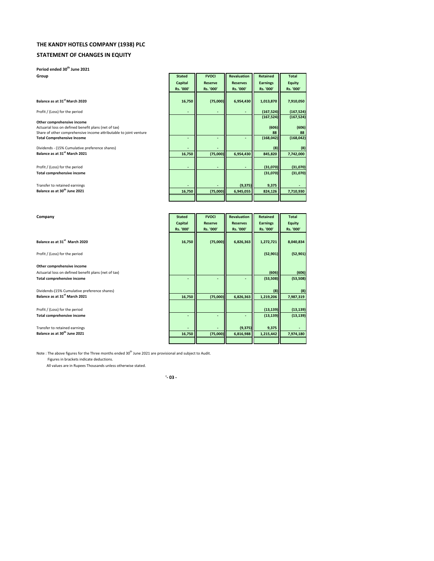## **THE KANDY HOTELS COMPANY (1938) PLC**

### **STATEMENT OF CHANGES IN EQUITY**

**Period ended 30th June 2021**

### **Balance as at 31st March 2020 (75,000) 16,750 6,954,430 1,013,870 7,910,050**

# Share of other comprehensive income attributable to joint venture **Total Comprehensive Income**

| Group                                                             | <b>Stated</b> | <b>FVOCI</b>   | <b>Revaluation</b> | Retained        | Total         |
|-------------------------------------------------------------------|---------------|----------------|--------------------|-----------------|---------------|
|                                                                   | Capital       | <b>Reserve</b> | <b>Reserves</b>    | <b>Earnings</b> | <b>Equity</b> |
|                                                                   | Rs. '000'     | Rs. '000'      | Rs. '000'          | Rs. '000'       | Rs. '000'     |
|                                                                   |               |                |                    |                 |               |
| Balance as at 31 <sup>st</sup> March 2020                         | 16,750        | (75,000)       | 6,954,430          | 1,013,870       | 7,910,050     |
| Profit / (Loss) for the period                                    |               |                |                    | (167, 524)      | (167, 524)    |
|                                                                   |               |                |                    | (167, 524)      | (167, 524)    |
| Other comprehensive income                                        |               |                |                    |                 |               |
| Actuarial loss on defined benefit plans (net of tax)              |               |                |                    | (606)           | (606)         |
| Share of other comprehensive income attributable to joint venture |               |                |                    | 88              | 88            |
| <b>Total Comprehensive Income</b>                                 |               |                |                    | (168, 042)      | (168, 042)    |
| Dividends - (15% Cumulative preference shares)                    |               |                |                    | (8)             | (8)           |
| Balance as at 31 <sup>st</sup> March 2021                         | 16,750        | (75,000)       | 6,954,430          | 845,820         | 7,742,000     |
|                                                                   |               |                |                    |                 |               |
| Profit / (Loss) for the period                                    |               |                |                    | (31,070)        | (31,070)      |
| Total comprehensive income                                        |               |                |                    | (31,070)        | (31,070)      |
|                                                                   |               |                |                    |                 |               |
| Transfer to retained earnings                                     |               |                | (9, 375)           | 9,375           |               |
| Balance as at 30 <sup>th</sup> June 2021                          | 16,750        | (75,000)       | 6,945,055          | 824,126         | 7,710,930     |
|                                                                   |               |                |                    |                 |               |

| Company                                              | <b>Stated</b> | <b>FVOCI</b>   | <b>Revaluation</b> | <b>Retained</b> | <b>Total</b>  |
|------------------------------------------------------|---------------|----------------|--------------------|-----------------|---------------|
|                                                      | Capital       | <b>Reserve</b> | <b>Reserves</b>    | <b>Earnings</b> | <b>Equity</b> |
|                                                      | Rs. '000'     | Rs. '000'      | Rs. '000'          | Rs. '000'       | Rs. '000'     |
|                                                      |               |                |                    |                 |               |
| Balance as at 31 <sup>st</sup> March 2020            | 16,750        | (75,000)       | 6,826,363          | 1,272,721       | 8,040,834     |
|                                                      |               |                |                    |                 |               |
| Profit / (Loss) for the period                       |               |                |                    | (52, 901)       | (52, 901)     |
|                                                      |               |                |                    |                 |               |
| Other comprehensive income                           |               |                |                    |                 |               |
| Actuarial loss on defined benefit plans (net of tax) |               |                |                    | (606)           | (606)         |
| Total comprehensive income                           |               |                |                    | (53, 508)       | (53, 508)     |
|                                                      |               |                |                    |                 |               |
| Dividends-(15% Cumulative preference shares)         |               |                |                    | (8)             | (8)           |
| Balance as at 31 <sup>st</sup> March 2021            | 16,750        | (75,000)       | 6,826,363          | 1,219,206       | 7,987,319     |
|                                                      |               |                |                    |                 |               |
| Profit / (Loss) for the period                       |               |                |                    | (13, 139)       | (13, 139)     |
| Total comprehensive income                           |               |                |                    | (13, 139)       | (13, 139)     |
|                                                      |               |                |                    |                 |               |
| Transfer to retained earnings                        |               |                | (9, 375)           | 9,375           |               |
| Balance as at 30 <sup>th</sup> June 2021             | 16,750        | (75,000)       | 6,816,988          | 1,215,442       | 7,974,180     |
|                                                      |               |                |                    |                 |               |

Note : The above figures for the Three months ended 30<sup>th</sup> June 2021 are provisional and subject to Audit. Figures in brackets indicate deductions.

All values are in Rupees Thousands unless otherwise stated.

#### **'- 03 -**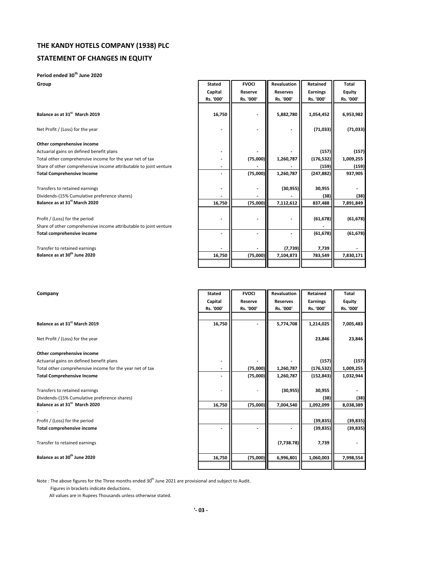## **STATEMENT OF CHANGES IN EQUITY**

## **Period ended 30th June 2020**

**Group Group Group Example 2011 Group CONFINGIBLE ACCIDENT Revaluation Retained Total <b>Total** 

| Balance as at 31 <sup>st</sup> March 2019 |  |
|-------------------------------------------|--|
|-------------------------------------------|--|

### **Other comprehensive income**

|                                                                   | Capital<br>Rs. '000' | Reserve<br>Rs. '000' | <b>Reserves</b><br>Rs. '000' | <b>Earnings</b><br>Rs. '000' | Equity<br>Rs. '000' |
|-------------------------------------------------------------------|----------------------|----------------------|------------------------------|------------------------------|---------------------|
| Balance as at 31 <sup>st</sup> March 2019                         | 16,750               |                      | 5,882,780                    | 1,054,452                    | 6,953,982           |
| Net Profit / (Loss) for the year                                  |                      |                      |                              | (71, 033)                    | (71, 033)           |
| Other comprehensive income                                        |                      |                      |                              |                              |                     |
| Actuarial gains on defined benefit plans                          |                      |                      |                              | (157)                        | (157)               |
| Total other comprehensive income for the year net of tax          |                      | (75,000)             | 1,260,787                    | (176, 532)                   | 1,009,255           |
| Share of other comprehensive income attributable to joint venture |                      |                      |                              | (159)                        | (159)               |
| <b>Total Comprehensive Income</b>                                 |                      | (75,000)             | 1,260,787                    | (247, 882)                   | 937,905             |
| Transfers to retained earnings                                    |                      |                      | (30, 955)                    | 30,955                       |                     |
| Dividends-(15% Cumulative preference shares)                      |                      |                      |                              | (38)                         | (38)                |
| Balance as at 31 <sup>st</sup> March 2020                         | 16,750               | (75,000)             | 7,112,612                    | 837,488                      | 7,891,849           |
| Profit / (Loss) for the period                                    |                      |                      |                              | (61, 678)                    | (61, 678)           |
| Share of other comprehensive income attributable to joint venture |                      |                      |                              |                              |                     |
| <b>Total comprehensive income</b>                                 |                      |                      |                              | (61, 678)                    | (61, 678)           |
| Transfer to retained earnings                                     |                      |                      | (7, 739)                     | 7,739                        |                     |
| Balance as at 30 <sup>th</sup> June 2020                          | 16,750               | (75,000)             | 7,104,873                    | 783,549                      | 7,830,171           |
|                                                                   |                      |                      |                              |                              |                     |

┑

| Company                                                  | <b>Stated</b> | <b>FVOCI</b> | <b>Revaluation</b> | Retained        | Total         |
|----------------------------------------------------------|---------------|--------------|--------------------|-----------------|---------------|
|                                                          | Capital       | Reserve      | <b>Reserves</b>    | <b>Earnings</b> | <b>Equity</b> |
|                                                          | Rs. '000'     | Rs. '000'    | Rs. '000'          | Rs. '000'       | Rs. '000'     |
|                                                          |               |              |                    |                 |               |
| Balance as at 31 <sup>st</sup> March 2019                | 16,750        |              | 5,774,708          | 1,214,025       | 7,005,483     |
| Net Profit / (Loss) for the year                         |               |              |                    | 23,846          | 23,846        |
| Other comprehensive income                               |               |              |                    |                 |               |
| Actuarial gains on defined benefit plans                 |               |              |                    | (157)           | (157)         |
| Total other comprehensive income for the year net of tax |               | (75,000)     | 1,260,787          | (176, 532)      | 1,009,255     |
| <b>Total Comprehensive Income</b>                        |               | (75,000)     | 1,260,787          | (152, 843)      | 1,032,944     |
| Transfers to retained earnings                           |               |              | (30, 955)          | 30,955          |               |
| Dividends-(15% Cumulative preference shares)             |               |              |                    | (38)            | (38)          |
| Balance as at 31 <sup>st</sup> March 2020                | 16,750        | (75,000)     | 7,004,540          | 1,092,099       | 8,038,389     |
| Profit / (Loss) for the period                           |               |              |                    | (39, 835)       | (39, 835)     |
| Total comprehensive income                               |               |              |                    | (39, 835)       | (39, 835)     |
| Transfer to retained earnings                            |               |              | (7,738.78)         | 7,739           |               |
| Balance as at 30 <sup>th</sup> June 2020                 | 16,750        | (75,000)     | 6,996,801          | 1,060,003       | 7,998,554     |
|                                                          |               |              |                    |                 |               |

Note : The above figures for the Three months ended 30<sup>th</sup> June 2021 are provisional and subject to Audit.

Figures in brackets indicate deductions.

All values are in Rupees Thousands unless otherwise stated.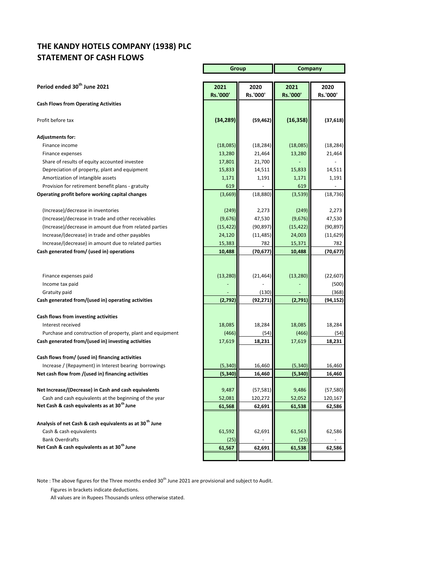# **THE KANDY HOTELS COMPANY (1938) PLC STATEMENT OF CASH FLOWS**

|                                                                     | Group          |           | <b>Company</b> |           |
|---------------------------------------------------------------------|----------------|-----------|----------------|-----------|
|                                                                     |                |           |                |           |
| Period ended 30 <sup>th</sup> June 2021                             | 2021           | 2020      | 2021           | 2020      |
|                                                                     | Rs.'000'       | Rs.'000'  | Rs.'000'       | Rs.'000'  |
| <b>Cash Flows from Operating Activities</b>                         |                |           |                |           |
| Profit before tax                                                   | (34, 289)      | (59, 462) | (16, 358)      | (37, 618) |
| <b>Adjustments for:</b>                                             |                |           |                |           |
| Finance income                                                      | (18,085)       | (18, 284) | (18,085)       | (18, 284) |
| Finance expenses                                                    | 13,280         | 21,464    | 13,280         | 21,464    |
| Share of results of equity accounted investee                       | 17,801         | 21,700    |                |           |
| Depreciation of property, plant and equipment                       | 15,833         | 14,511    | 15,833         | 14,511    |
| Amortization of intangible assets                                   | 1,171          | 1,191     | 1,171          | 1,191     |
| Provision for retirement benefit plans - gratuity                   | 619            |           | 619            |           |
| Operating profit before working capital changes                     | (3,669)        | (18, 880) | (3,539)        | (18, 736) |
| (Increase)/decrease in inventories                                  | (249)          | 2,273     | (249)          | 2,273     |
| (Increase)/decrease in trade and other receivables                  | (9,676)        | 47,530    | (9,676)        | 47,530    |
| (Increase)/decrease in amount due from related parties              | (15, 422)      | (90, 897) | (15, 422)      | (90, 897) |
| Increase/(decrease) in trade and other payables                     | 24,120         | (11, 485) | 24,003         | (11, 629) |
| Increase/(decrease) in amount due to related parties                | 15,383         | 782       | 15,371         | 782       |
| Cash generated from/ (used in) operations                           | 10,488         | (70,677)  | 10,488         | (70, 677) |
|                                                                     |                |           |                |           |
| Finance expenses paid                                               | (13, 280)      | (21, 464) | (13, 280)      | (22, 607) |
| Income tax paid                                                     |                |           |                | (500)     |
| Gratuity paid                                                       |                | (130)     |                | (368)     |
| Cash generated from/(used in) operating activities                  | (2,792)        | (92, 271) | (2,791)        | (94,152)  |
|                                                                     |                |           |                |           |
| Cash flows from investing activities                                |                |           |                |           |
| Interest received                                                   | 18,085         | 18,284    | 18,085         | 18,284    |
| Purchase and construction of property, plant and equipment          | (466)          | (54)      | (466)          | (54)      |
| Cash generated from/(used in) investing activities                  | 17,619         | 18,231    | 17,619         | 18,231    |
| Cash flows from/ (used in) financing activities                     |                |           |                |           |
| Increase / (Repayment) in Interest bearing borrowings               | (5, 340)       | 16,460    | (5, 340)       | 16,460    |
| Net cash flow from /(used in) financing activities                  | (5, 340)       | 16,460    | (5, 340)       | 16,460    |
|                                                                     |                |           |                |           |
| Net Increase/(Decrease) in Cash and cash equivalents                | 9,487          | (57, 581) | 9,486          | (57, 580) |
| Cash and cash equivalents at the beginning of the year              | 52,081         | 120,272   | 52,052         | 120,167   |
| Net Cash & cash equivalents as at 30 <sup>th</sup> June             | 61,568         | 62,691    | 61,538         | 62,586    |
| Analysis of net Cash & cash equivalents as at 30 <sup>th</sup> June |                |           |                |           |
|                                                                     |                |           |                |           |
| Cash & cash equivalents<br><b>Bank Overdrafts</b>                   | 61,592         | 62,691    | 61,563         | 62,586    |
| Net Cash & cash equivalents as at 30 <sup>th</sup> June             | (25)<br>61,567 | 62,691    | (25)<br>61,538 | 62,586    |
|                                                                     |                |           |                |           |
|                                                                     |                |           |                |           |

Note : The above figures for the Three months ended 30<sup>th</sup> June 2021 are provisional and subject to Audit.

Figures in brackets indicate deductions.

All values are in Rupees Thousands unless otherwise stated.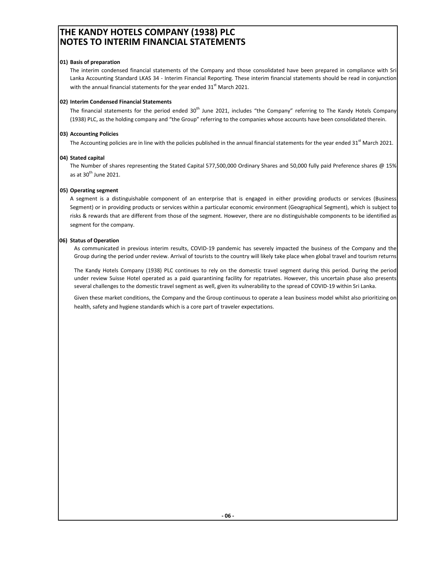# **THE KANDY HOTELS COMPANY (1938) PLC NOTES TO INTERIM FINANCIAL STATEMENTS**

### **01) Basis of preparation**

The interim condensed financial statements of the Company and those consolidated have been prepared in compliance with Sri Lanka Accounting Standard LKAS 34 - Interim Financial Reporting. These interim financial statements should be read in conjunction with the annual financial statements for the year ended  $31^{st}$  March 2021.

### **02) Interim Condensed Financial Statements**

The financial statements for the period ended  $30<sup>th</sup>$  June 2021, includes "the Company" referring to The Kandy Hotels Company (1938) PLC, as the holding company and "the Group" referring to the companies whose accounts have been consolidated therein.

### **03) Accounting Policies**

The Accounting policies are in line with the policies published in the annual financial statements for the year ended 31<sup>st</sup> March 2021.

### **04) Stated capital**

The Number of shares representing the Stated Capital 577,500,000 Ordinary Shares and 50,000 fully paid Preference shares @ 15% as at  $30<sup>th</sup>$  June 2021.

### **05) Operating segment**

A segment is a distinguishable component of an enterprise that is engaged in either providing products or services (Business Segment) or in providing products or services within a particular economic environment (Geographical Segment), which is subject to risks & rewards that are different from those of the segment. However, there are no distinguishable components to be identified as segment for the company.

### **06) Status of Operation**

As communicated in previous interim results, COVID-19 pandemic has severely impacted the business of the Company and the Group during the period under review. Arrival of tourists to the country will likely take place when global travel and tourism returns

The Kandy Hotels Company (1938) PLC continues to rely on the domestic travel segment during this period. During the period under review Suisse Hotel operated as a paid quarantining facility for repatriates. However, this uncertain phase also presents several challenges to the domestic travel segment as well, given its vulnerability to the spread of COVID-19 within Sri Lanka.

Given these market conditions, the Company and the Group continuous to operate a lean business model whilst also prioritizing on health, safety and hygiene standards which is a core part of traveler expectations.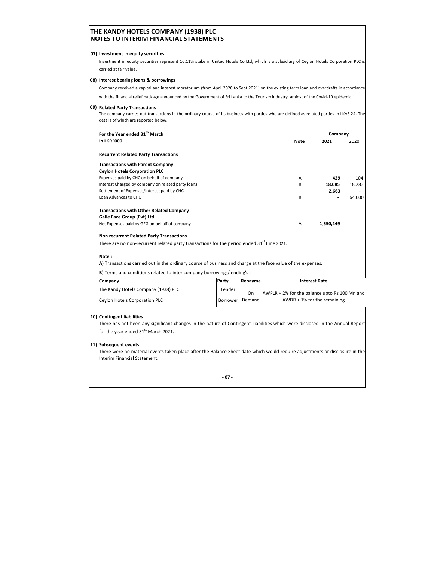### **THE KANDY HOTELS COMPANY (1938) PLC NOTES TO INTERIM FINANCIAL STATEMENTS**

#### **07) Investment in equity securities**

Investment in equity securities represent 16.11% stake in United Hotels Co Ltd, which is a subsidiary of Ceylon Hotels Corporation PLC is carried at fair value.

#### **08) Interest bearing loans & borrowings**

Company received a capital and interest moratorium (from April 2020 to Sept 2021) on the existing term loan and overdrafts in accordance

with the financial relief package announced by the Government of Sri Lanka to the Tourism industry, amidst of the Covid-19 epidemic.

#### **09) Related Party Transactions**

The company carries out transactions in the ordinary course of its business with parties who are defined as related parties in LKAS 24. The details of which are reported below.

| For the Year ended 31 <sup>th</sup> March                                    |      | Company                  |        |
|------------------------------------------------------------------------------|------|--------------------------|--------|
| <b>In LKR '000</b>                                                           | Note | 2021                     | 2020   |
| <b>Recurrent Related Party Transactions</b>                                  |      |                          |        |
| <b>Transactions with Parent Company</b>                                      |      |                          |        |
| <b>Cevion Hotels Corporation PLC</b>                                         |      |                          |        |
| Expenses paid by CHC on behalf of company                                    | A    | 429                      | 104    |
| Interest Charged by company on related party loans                           | в    | 18.085                   | 18,283 |
| Settlement of Expenses/interest paid by CHC                                  |      | 2,663                    | ۰.     |
| Loan Advances to CHC                                                         | в    | $\overline{\phantom{a}}$ | 64.000 |
| <b>Transactions with Other Related Company</b><br>Galle Face Group (Pvt) Ltd |      |                          |        |
| Net Expenses paid by GFG on behalf of company                                | A    | 1.550.249                |        |

#### **Non recurrent Related Party Transactions**

There are no non-recurrent related party transactions for the period ended 31<sup>st</sup> June 2021.

#### **Note :**

**A)** Transactions carried out in the ordinary course of business and charge at the face value of the expenses.

**B)** Terms and conditions related to inter company borrowings/lending's :

| <b>Company</b>                      | Party      | Repayme  | <b>Interest Rate</b>                          |
|-------------------------------------|------------|----------|-----------------------------------------------|
| The Kandy Hotels Company (1938) PLC | Lender     | On.      | AWPLR + 2% for the balance upto Rs 100 Mn and |
| Ceylon Hotels Corporation PLC       | Borrower I | Demand I | $AWDR + 1%$ for the remaining                 |

#### **10) Contingent liabilities**

There has not been any significant changes in the nature of Contingent Liabilities which were disclosed in the Annual Report for the year ended 31<sup>st</sup> March 2021.

### **11) Subsequent events**

There were no material events taken place after the Balance Sheet date which would require adjustments or disclosure in the Interim Financial Statement.